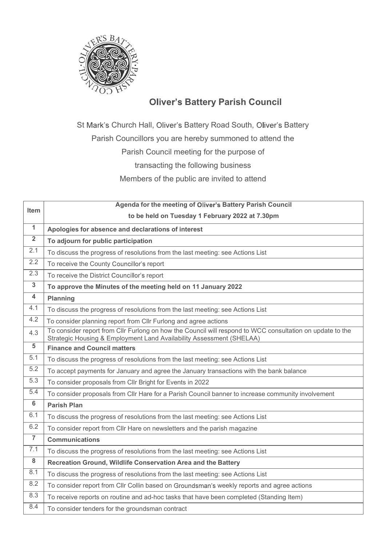

**Battery Parish Council**<br>Battery Road South, Oliver's Battery<br>hereby summoned to attend the **Parish Council**<br> **Parish Council**<br>
Univer's Battery Parish Council<br>
Univer's Battery Road South, Oliver's Battery<br>
ouncillors you are hereby summoned to attend the<br>
Parish Council meeting for the purpose of<br>
transacting t

|                | <b>Oliver's Battery Parish Council</b>                                                                                                                                            |
|----------------|-----------------------------------------------------------------------------------------------------------------------------------------------------------------------------------|
|                |                                                                                                                                                                                   |
|                | St Mark's Church Hall, Oliver's Battery Road South, Oliver's Battery                                                                                                              |
|                | Parish Councillors you are hereby summoned to attend the                                                                                                                          |
|                | Parish Council meeting for the purpose of                                                                                                                                         |
|                | transacting the following business                                                                                                                                                |
|                |                                                                                                                                                                                   |
|                | Members of the public are invited to attend                                                                                                                                       |
|                | Agenda for the meeting of Oliver's Battery Parish Council                                                                                                                         |
| Item           | to be held on Tuesday 1 February 2022 at 7.30pm                                                                                                                                   |
| $\mathbf{1}$   | Apologies for absence and declarations of interest                                                                                                                                |
| $\mathbf{2}$   | To adjourn for public participation                                                                                                                                               |
| 2.1            | To discuss the progress of resolutions from the last meeting: see Actions List                                                                                                    |
| 2.2            | To receive the County Councillor's report                                                                                                                                         |
| 2.3            | To receive the District Councillor's report                                                                                                                                       |
| 3              | To approve the Minutes of the meeting held on 11 January 2022                                                                                                                     |
| 4              | <b>Planning</b>                                                                                                                                                                   |
| 4.1            | To discuss the progress of resolutions from the last meeting: see Actions List                                                                                                    |
| 4.2            | To consider planning report from Cllr Furlong and agree actions                                                                                                                   |
| 4.3            | To consider report from Cllr Furlong on how the Council will respond to WCC consultation on update to the<br>Strategic Housing & Employment Land Availability Assessment (SHELAA) |
| $\sqrt{5}$     | <b>Finance and Council matters</b>                                                                                                                                                |
| 5.1            | To discuss the progress of resolutions from the last meeting: see Actions List                                                                                                    |
| 5.2            | To accept payments for January and agree the January transactions with the bank balance                                                                                           |
| 5.3            | To consider proposals from Cllr Bright for Events in 2022                                                                                                                         |
| 5.4            | To consider proposals from Cllr Hare for a Parish Council banner to increase community involvement                                                                                |
| 6              | <b>Parish Plan</b>                                                                                                                                                                |
| 6.1            | To discuss the progress of resolutions from the last meeting: see Actions List                                                                                                    |
| 6.2            | To consider report from Cllr Hare on newsletters and the parish magazine                                                                                                          |
| $\overline{7}$ | <b>Communications</b>                                                                                                                                                             |
| 7.1            | To discuss the progress of resolutions from the last meeting: see Actions List                                                                                                    |
| 8              | Recreation Ground, Wildlife Conservation Area and the Battery                                                                                                                     |
| 8.1            | To discuss the progress of resolutions from the last meeting: see Actions List                                                                                                    |
| 8.2            | To consider report from Cllr Collin based on Groundsman's weekly reports and agree actions                                                                                        |
| 8.3            | To receive reports on routine and ad-hoc tasks that have been completed (Standing Item)                                                                                           |
| 8.4            | To consider tenders for the groundsman contract                                                                                                                                   |